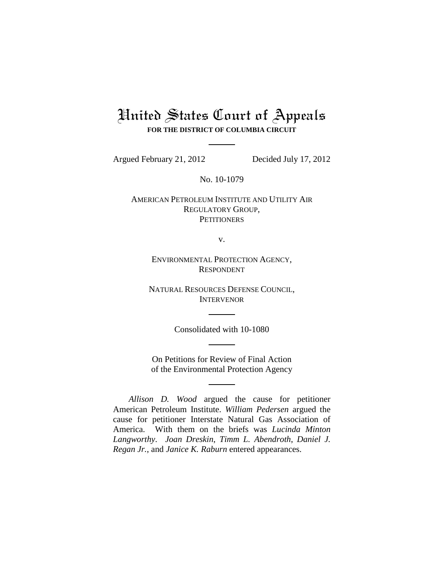# United States Court of Appeals **FOR THE DISTRICT OF COLUMBIA CIRCUIT**

Argued February 21, 2012 Decided July 17, 2012

No. 10-1079

AMERICAN PETROLEUM INSTITUTE AND UTILITY AIR REGULATORY GROUP, **PETITIONERS** 

v.

ENVIRONMENTAL PROTECTION AGENCY, RESPONDENT

NATURAL RESOURCES DEFENSE COUNCIL, INTERVENOR

Consolidated with 10-1080

On Petitions for Review of Final Action of the Environmental Protection Agency

*Allison D. Wood* argued the cause for petitioner American Petroleum Institute. *William Pedersen* argued the cause for petitioner Interstate Natural Gas Association of America. With them on the briefs was *Lucinda Minton Langworthy*. *Joan Dreskin*, *Timm L. Abendroth*, *Daniel J. Regan Jr.*, and *Janice K. Raburn* entered appearances.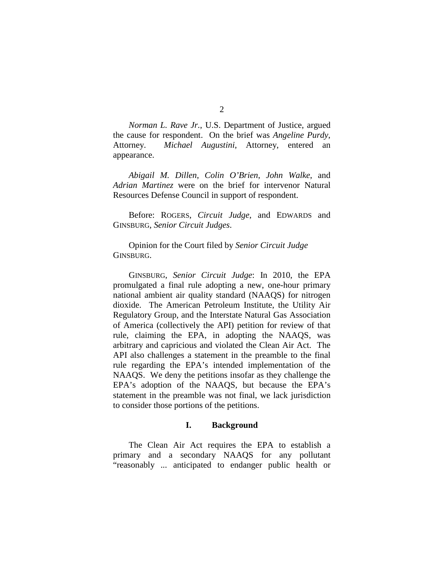*Norman L. Rave Jr.*, U.S. Department of Justice, argued the cause for respondent. On the brief was *Angeline Purdy*, Attorney. *Michael Augustini*, Attorney, entered an appearance.

*Abigail M. Dillen*, *Colin O'Brien*, *John Walke*, and *Adrian Martinez* were on the brief for intervenor Natural Resources Defense Council in support of respondent.

Before: ROGERS, *Circuit Judge*, and EDWARDS and GINSBURG, *Senior Circuit Judges*.

Opinion for the Court filed by *Senior Circuit Judge*  GINSBURG.

GINSBURG, *Senior Circuit Judge*: In 2010, the EPA promulgated a final rule adopting a new, one-hour primary national ambient air quality standard (NAAQS) for nitrogen dioxide. The American Petroleum Institute, the Utility Air Regulatory Group, and the Interstate Natural Gas Association of America (collectively the API) petition for review of that rule, claiming the EPA, in adopting the NAAQS, was arbitrary and capricious and violated the Clean Air Act. The API also challenges a statement in the preamble to the final rule regarding the EPA's intended implementation of the NAAQS. We deny the petitions insofar as they challenge the EPA's adoption of the NAAQS, but because the EPA's statement in the preamble was not final, we lack jurisdiction to consider those portions of the petitions.

#### **I. Background**

The Clean Air Act requires the EPA to establish a primary and a secondary NAAQS for any pollutant "reasonably ... anticipated to endanger public health or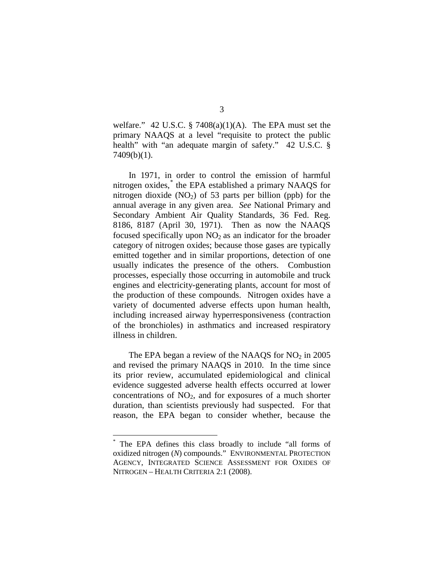welfare." 42 U.S.C.  $\S$  7408(a)(1)(A). The EPA must set the primary NAAQS at a level "requisite to protect the public health" with "an adequate margin of safety." 42 U.S.C. § 7409(b)(1).

In 1971, in order to control the emission of harmful nitrogen oxides, [\\*](#page-2-0) the EPA established a primary NAAQS for nitrogen dioxide  $(NO<sub>2</sub>)$  of 53 parts per billion (ppb) for the annual average in any given area. *See* National Primary and Secondary Ambient Air Quality Standards, 36 Fed. Reg. 8186, 8187 (April 30, 1971). Then as now the NAAQS focused specifically upon  $NO<sub>2</sub>$  as an indicator for the broader category of nitrogen oxides; because those gases are typically emitted together and in similar proportions, detection of one usually indicates the presence of the others. Combustion processes, especially those occurring in automobile and truck engines and electricity-generating plants, account for most of the production of these compounds. Nitrogen oxides have a variety of documented adverse effects upon human health, including increased airway hyperresponsiveness (contraction of the bronchioles) in asthmatics and increased respiratory illness in children.

The EPA began a review of the NAAQS for  $NO<sub>2</sub>$  in 2005 and revised the primary NAAQS in 2010. In the time since its prior review, accumulated epidemiological and clinical evidence suggested adverse health effects occurred at lower concentrations of  $NO<sub>2</sub>$ , and for exposures of a much shorter duration, than scientists previously had suspected. For that reason, the EPA began to consider whether, because the

<span id="page-2-0"></span>The EPA defines this class broadly to include "all forms of oxidized nitrogen (*N*) compounds." ENVIRONMENTAL PROTECTION AGENCY, INTEGRATED SCIENCE ASSESSMENT FOR OXIDES OF NITROGEN – HEALTH CRITERIA 2:1 (2008).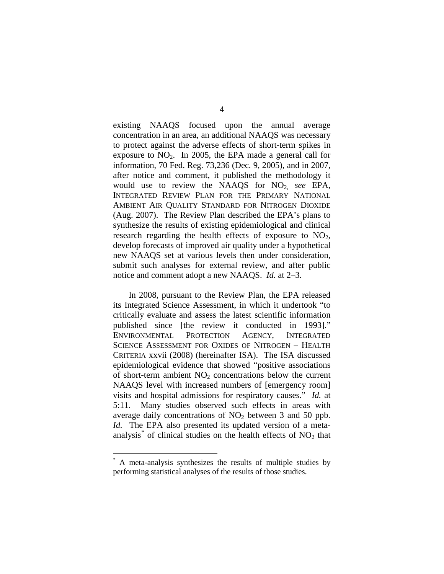existing NAAQS focused upon the annual average concentration in an area, an additional NAAQS was necessary to protect against the adverse effects of short-term spikes in exposure to  $NO<sub>2</sub>$ . In 2005, the EPA made a general call for information, 70 Fed. Reg. 73,236 (Dec. 9, 2005), and in 2007, after notice and comment, it published the methodology it would use to review the NAAQS for NO<sub>2,</sub> see EPA, INTEGRATED REVIEW PLAN FOR THE PRIMARY NATIONAL AMBIENT AIR QUALITY STANDARD FOR NITROGEN DIOXIDE (Aug. 2007). The Review Plan described the EPA's plans to synthesize the results of existing epidemiological and clinical research regarding the health effects of exposure to  $NO<sub>2</sub>$ , develop forecasts of improved air quality under a hypothetical new NAAQS set at various levels then under consideration, submit such analyses for external review, and after public notice and comment adopt a new NAAQS. *Id.* at 2–3.

In 2008, pursuant to the Review Plan, the EPA released its Integrated Science Assessment, in which it undertook "to critically evaluate and assess the latest scientific information published since [the review it conducted in 1993]." ENVIRONMENTAL PROTECTION AGENCY, INTEGRATED SCIENCE ASSESSMENT FOR OXIDES OF NITROGEN – HEALTH CRITERIA xxvii (2008) (hereinafter ISA). The ISA discussed epidemiological evidence that showed "positive associations of short-term ambient  $NO<sub>2</sub>$  concentrations below the current NAAQS level with increased numbers of [emergency room] visits and hospital admissions for respiratory causes." *Id.* at 5:11. Many studies observed such effects in areas with average daily concentrations of  $NO<sub>2</sub>$  between 3 and 50 ppb. *Id.* The EPA also presented its updated version of a meta-analysis<sup>[\\*](#page-3-0)</sup> of clinical studies on the health effects of  $NO<sub>2</sub>$  that

<span id="page-3-0"></span>A meta-analysis synthesizes the results of multiple studies by performing statistical analyses of the results of those studies.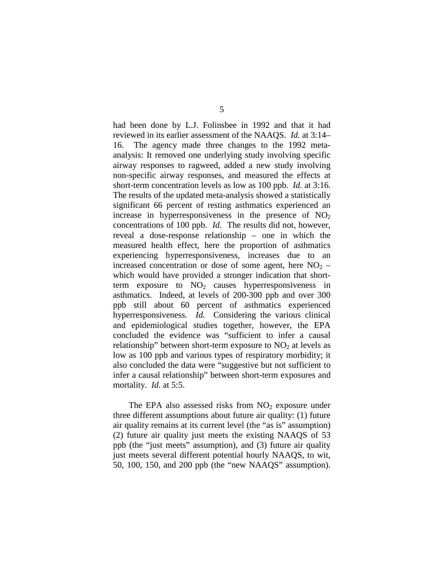had been done by L.J. Folinsbee in 1992 and that it had reviewed in its earlier assessment of the NAAQS. *Id.* at 3:14– 16. The agency made three changes to the 1992 metaanalysis: It removed one underlying study involving specific airway responses to ragweed, added a new study involving non-specific airway responses, and measured the effects at short-term concentration levels as low as 100 ppb. *Id.* at 3:16. The results of the updated meta-analysis showed a statistically significant 66 percent of resting asthmatics experienced an increase in hyperresponsiveness in the presence of  $NO<sub>2</sub>$ concentrations of 100 ppb. *Id.* The results did not, however, reveal a dose-response relationship – one in which the measured health effect, here the proportion of asthmatics experiencing hyperresponsiveness, increases due to an increased concentration or dose of some agent, here  $NO<sub>2</sub>$  – which would have provided a stronger indication that shortterm exposure to  $NO<sub>2</sub>$  causes hyperresponsiveness in asthmatics. Indeed, at levels of 200-300 ppb and over 300 ppb still about 60 percent of asthmatics experienced hyperresponsiveness. *Id.* Considering the various clinical and epidemiological studies together, however, the EPA concluded the evidence was "sufficient to infer a causal relationship" between short-term exposure to  $NO<sub>2</sub>$  at levels as low as 100 ppb and various types of respiratory morbidity; it also concluded the data were "suggestive but not sufficient to infer a causal relationship" between short-term exposures and mortality. *Id.* at 5:5.

The EPA also assessed risks from  $NO<sub>2</sub>$  exposure under three different assumptions about future air quality: (1) future air quality remains at its current level (the "as is" assumption) (2) future air quality just meets the existing NAAQS of 53 ppb (the "just meets" assumption), and (3) future air quality just meets several different potential hourly NAAQS, to wit, 50, 100, 150, and 200 ppb (the "new NAAQS" assumption).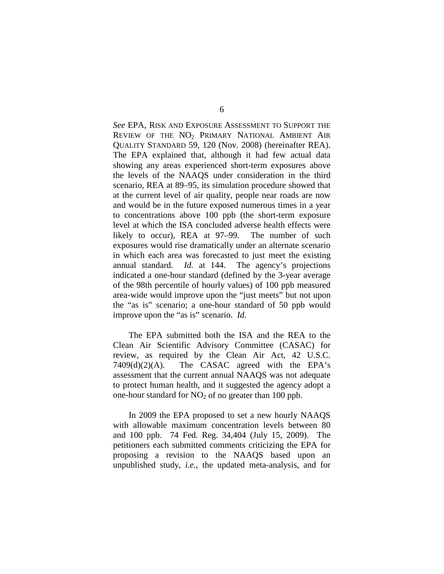*See* EPA, RISK AND EXPOSURE ASSESSMENT TO SUPPORT THE REVIEW OF THE NO<sub>2</sub> PRIMARY NATIONAL AMBIENT AIR QUALITY STANDARD 59, 120 (Nov. 2008) (hereinafter REA). The EPA explained that, although it had few actual data showing any areas experienced short-term exposures above the levels of the NAAQS under consideration in the third scenario, REA at 89–95, its simulation procedure showed that at the current level of air quality, people near roads are now and would be in the future exposed numerous times in a year to concentrations above 100 ppb (the short-term exposure level at which the ISA concluded adverse health effects were likely to occur), REA at 97–99.The number of such exposures would rise dramatically under an alternate scenario in which each area was forecasted to just meet the existing annual standard. *Id.* at 144. The agency's projections indicated a one-hour standard (defined by the 3-year average of the 98th percentile of hourly values) of 100 ppb measured area-wide would improve upon the "just meets" but not upon the "as is" scenario; a one-hour standard of 50 ppb would improve upon the "as is" scenario. *Id.*

The EPA submitted both the ISA and the REA to the Clean Air Scientific Advisory Committee (CASAC) for review, as required by the Clean Air Act, 42 U.S.C.  $7409(d)(2)(A)$ . The CASAC agreed with the EPA's assessment that the current annual NAAQS was not adequate to protect human health, and it suggested the agency adopt a one-hour standard for  $NO<sub>2</sub>$  of no greater than 100 ppb.

In 2009 the EPA proposed to set a new hourly NAAQS with allowable maximum concentration levels between 80 and 100 ppb. 74 Fed. Reg. 34,404 (July 15, 2009). The petitioners each submitted comments criticizing the EPA for proposing a revision to the NAAQS based upon an unpublished study, *i.e.*, the updated meta-analysis, and for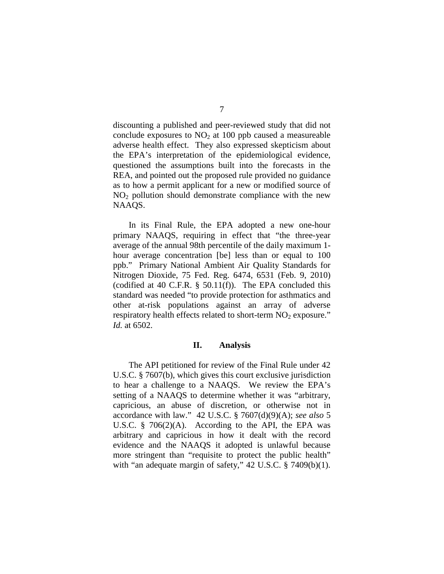discounting a published and peer-reviewed study that did not conclude exposures to  $NO<sub>2</sub>$  at 100 ppb caused a measureable adverse health effect.They also expressed skepticism about the EPA's interpretation of the epidemiological evidence, questioned the assumptions built into the forecasts in the REA, and pointed out the proposed rule provided no guidance as to how a permit applicant for a new or modified source of  $NO<sub>2</sub>$  pollution should demonstrate compliance with the new NAAQS.

In its Final Rule, the EPA adopted a new one-hour primary NAAQS, requiring in effect that "the three-year average of the annual 98th percentile of the daily maximum 1 hour average concentration [be] less than or equal to 100 ppb." Primary National Ambient Air Quality Standards for Nitrogen Dioxide, 75 Fed. Reg. 6474, 6531 (Feb. 9, 2010) (codified at 40 C.F.R. § 50.11(f)). The EPA concluded this standard was needed "to provide protection for asthmatics and other at-risk populations against an array of adverse respiratory health effects related to short-term  $NO<sub>2</sub>$  exposure." *Id.* at 6502.

#### **II. Analysis**

The API petitioned for review of the Final Rule under 42 U.S.C. § 7607(b), which gives this court exclusive jurisdiction to hear a challenge to a NAAQS. We review the EPA's setting of a NAAQS to determine whether it was "arbitrary, capricious, an abuse of discretion, or otherwise not in accordance with law." 42 U.S.C. § 7607(d)(9)(A); *see also* 5 U.S.C.  $\frac{8}{3}$  706(2)(A). According to the API, the EPA was arbitrary and capricious in how it dealt with the record evidence and the NAAQS it adopted is unlawful because more stringent than "requisite to protect the public health" with "an adequate margin of safety," 42 U.S.C. § 7409(b)(1).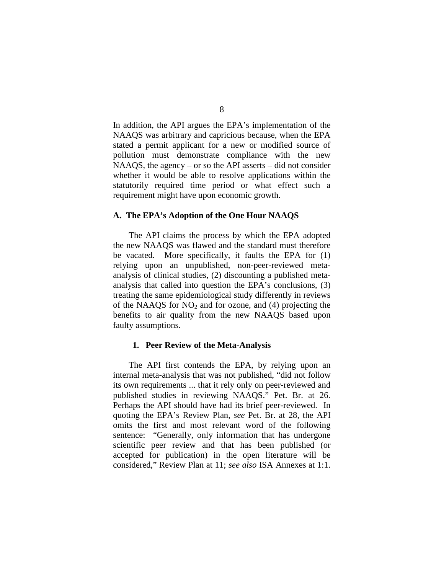In addition, the API argues the EPA's implementation of the NAAQS was arbitrary and capricious because, when the EPA stated a permit applicant for a new or modified source of pollution must demonstrate compliance with the new NAAQS, the agency – or so the API asserts – did not consider whether it would be able to resolve applications within the statutorily required time period or what effect such a requirement might have upon economic growth.

### **A. The EPA's Adoption of the One Hour NAAQS**

The API claims the process by which the EPA adopted the new NAAQS was flawed and the standard must therefore be vacated. More specifically, it faults the EPA for (1) relying upon an unpublished, non-peer-reviewed metaanalysis of clinical studies, (2) discounting a published metaanalysis that called into question the EPA's conclusions, (3) treating the same epidemiological study differently in reviews of the NAAQS for  $NO<sub>2</sub>$  and for ozone, and (4) projecting the benefits to air quality from the new NAAQS based upon faulty assumptions.

#### **1. Peer Review of the Meta-Analysis**

The API first contends the EPA, by relying upon an internal meta-analysis that was not published, "did not follow its own requirements ... that it rely only on peer-reviewed and published studies in reviewing NAAQS." Pet. Br. at 26. Perhaps the API should have had its brief peer-reviewed. In quoting the EPA's Review Plan, *see* Pet. Br. at 28, the API omits the first and most relevant word of the following sentence: "Generally, only information that has undergone scientific peer review and that has been published (or accepted for publication) in the open literature will be considered," Review Plan at 11; *see also* ISA Annexes at 1:1.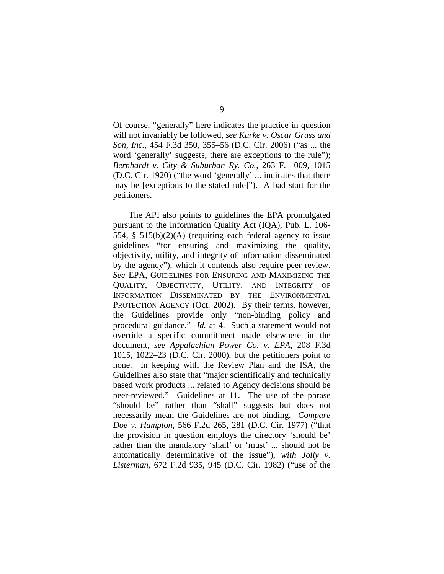Of course, "generally" here indicates the practice in question will not invariably be followed, *see Kurke v. Oscar Gruss and Son, Inc.*, 454 F.3d 350, 355–56 (D.C. Cir. 2006) ("as ... the word 'generally' suggests, there are exceptions to the rule"); *Bernhardt v. City & Suburban Ry. Co.*, 263 F. 1009, 1015 (D.C. Cir. 1920) ("the word 'generally' ... indicates that there may be [exceptions to the stated rule]"). A bad start for the petitioners.

The API also points to guidelines the EPA promulgated pursuant to the Information Quality Act (IQA), Pub. L. 106- 554, § 515(b)(2)(A) (requiring each federal agency to issue guidelines "for ensuring and maximizing the quality, objectivity, utility, and integrity of information disseminated by the agency"), which it contends also require peer review. *See* EPA, GUIDELINES FOR ENSURING AND MAXIMIZING THE QUALITY, OBJECTIVITY, UTILITY, AND INTEGRITY OF INFORMATION DISSEMINATED BY THE ENVIRONMENTAL PROTECTION AGENCY (Oct. 2002). By their terms, however, the Guidelines provide only "non-binding policy and procedural guidance." *Id.* at 4. Such a statement would not override a specific commitment made elsewhere in the document, *see Appalachian Power Co. v. EPA*, 208 F.3d 1015, 1022–23 (D.C. Cir. 2000), but the petitioners point to none. In keeping with the Review Plan and the ISA, the Guidelines also state that "major scientifically and technically based work products ... related to Agency decisions should be peer-reviewed." Guidelines at 11. The use of the phrase "should be" rather than "shall" suggests but does not necessarily mean the Guidelines are not binding.*Compare Doe v. Hampton*, 566 F.2d 265, 281 (D.C. Cir. 1977) ("that the provision in question employs the directory 'should be' rather than the mandatory 'shall' or 'must' ... should not be automatically determinative of the issue"), *with Jolly v. Listerman*, 672 F.2d 935, 945 (D.C. Cir. 1982) ("use of the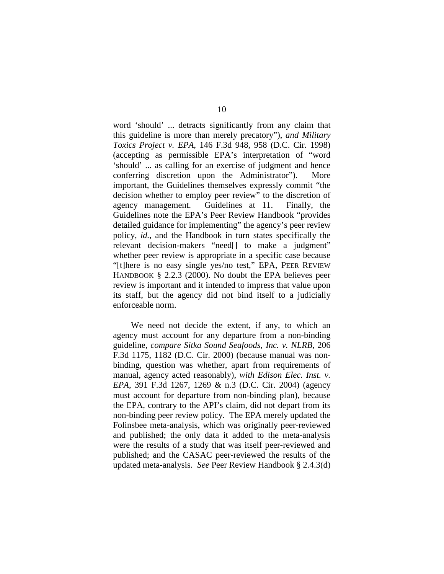word 'should' ... detracts significantly from any claim that this guideline is more than merely precatory"), *and Military Toxics Project v. EPA*, 146 F.3d 948, 958 (D.C. Cir. 1998) (accepting as permissible EPA's interpretation of "word 'should' ... as calling for an exercise of judgment and hence conferring discretion upon the Administrator"). More important, the Guidelines themselves expressly commit "the decision whether to employ peer review" to the discretion of agency management. Guidelines at 11. Finally, the Guidelines note the EPA's Peer Review Handbook "provides detailed guidance for implementing" the agency's peer review policy, *id.*, and the Handbook in turn states specifically the relevant decision-makers "need[] to make a judgment" whether peer review is appropriate in a specific case because "[t]here is no easy single yes/no test," EPA, PEER REVIEW HANDBOOK § 2.2.3 (2000). No doubt the EPA believes peer review is important and it intended to impress that value upon its staff, but the agency did not bind itself to a judicially enforceable norm.

We need not decide the extent, if any, to which an agency must account for any departure from a non-binding guideline, *compare Sitka Sound Seafoods, Inc. v. NLRB*, 206 F.3d 1175, 1182 (D.C. Cir. 2000) (because manual was nonbinding, question was whether, apart from requirements of manual, agency acted reasonably), *with Edison Elec. Inst. v. EPA*, 391 F.3d 1267, 1269 & n.3 (D.C. Cir. 2004) (agency must account for departure from non-binding plan), because the EPA, contrary to the API's claim, did not depart from its non-binding peer review policy. The EPA merely updated the Folinsbee meta-analysis, which was originally peer-reviewed and published; the only data it added to the meta-analysis were the results of a study that was itself peer-reviewed and published; and the CASAC peer-reviewed the results of the updated meta-analysis. *See* Peer Review Handbook § 2.4.3(d)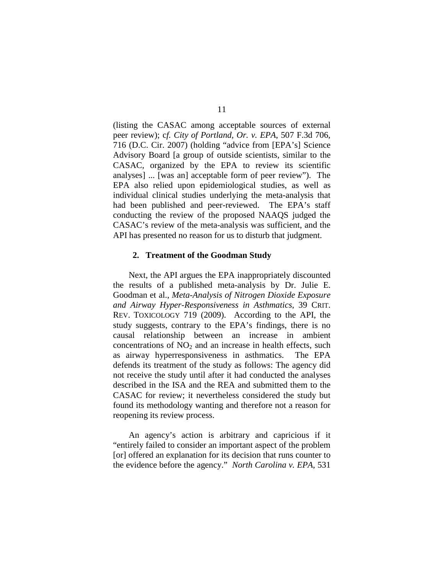(listing the CASAC among acceptable sources of external peer review); c*f. City of Portland, Or. v. EPA*, 507 F.3d 706, 716 (D.C. Cir. 2007) (holding "advice from [EPA's] Science Advisory Board [a group of outside scientists, similar to the CASAC, organized by the EPA to review its scientific analyses] ... [was an] acceptable form of peer review"). The EPA also relied upon epidemiological studies, as well as individual clinical studies underlying the meta-analysis that had been published and peer-reviewed. The EPA's staff conducting the review of the proposed NAAQS judged the CASAC's review of the meta-analysis was sufficient, and the API has presented no reason for us to disturb that judgment.

#### **2. Treatment of the Goodman Study**

Next, the API argues the EPA inappropriately discounted the results of a published meta-analysis by Dr. Julie E. Goodman et al., *Meta-Analysis of Nitrogen Dioxide Exposure and Airway Hyper-Responsiveness in Asthmatics*, 39 CRIT. REV. TOXICOLOGY 719 (2009).According to the API, the study suggests, contrary to the EPA's findings, there is no causal relationship between an increase in ambient concentrations of  $NO<sub>2</sub>$  and an increase in health effects, such as airway hyperresponsiveness in asthmatics. The EPA defends its treatment of the study as follows: The agency did not receive the study until after it had conducted the analyses described in the ISA and the REA and submitted them to the CASAC for review; it nevertheless considered the study but found its methodology wanting and therefore not a reason for reopening its review process.

An agency's action is arbitrary and capricious if it "entirely failed to consider an important aspect of the problem [or] offered an explanation for its decision that runs counter to the evidence before the agency." *North Carolina v. EPA*, 531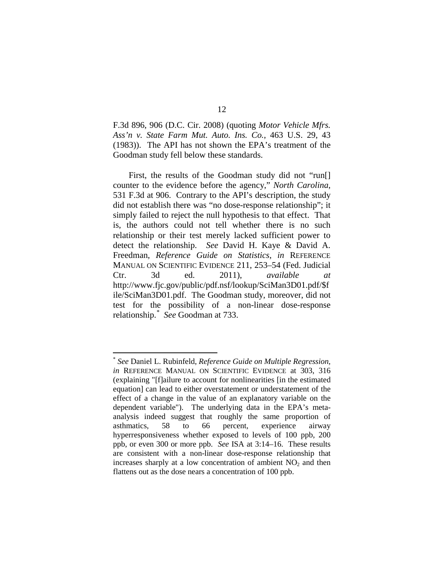F.3d 896, 906 (D.C. Cir. 2008) (quoting *Motor Vehicle Mfrs. Ass'n v. State Farm Mut. Auto. Ins. Co.*, 463 U.S. 29, 43 (1983)). The API has not shown the EPA's treatment of the Goodman study fell below these standards.

First, the results of the Goodman study did not "run[] counter to the evidence before the agency," *North Carolina*, 531 F.3d at 906. Contrary to the API's description, the study did not establish there was "no dose-response relationship"; it simply failed to reject the null hypothesis to that effect. That is, the authors could not tell whether there is no such relationship or their test merely lacked sufficient power to detect the relationship. *See* David H. Kaye & David A. Freedman, *Reference Guide on Statistics*, *in* REFERENCE MANUAL ON SCIENTIFIC EVIDENCE 211, 253–54 (Fed. Judicial Ctr. 3d ed. 2011), *available at* http://www.fjc.gov/public/pdf.nsf/lookup/SciMan3D01.pdf/\$f ile/SciMan3D01.pdf. The Goodman study, moreover, did not test for the possibility of a non-linear dose-response relationship. [\\*](#page-11-0) *See* Goodman at 733.

<span id="page-11-0"></span> <sup>\*</sup> *See* Daniel L. Rubinfeld, *Reference Guide on Multiple Regression*, *in* REFERENCE MANUAL ON SCIENTIFIC EVIDENCE at 303, 316 (explaining "[f]ailure to account for nonlinearities [in the estimated equation] can lead to either overstatement or understatement of the effect of a change in the value of an explanatory variable on the dependent variable"). The underlying data in the EPA's metaanalysis indeed suggest that roughly the same proportion of asthmatics, 58 to 66 percent, experience airway hyperresponsiveness whether exposed to levels of 100 ppb, 200 ppb, or even 300 or more ppb. *See* ISA at 3:14–16. These results are consistent with a non-linear dose-response relationship that increases sharply at a low concentration of ambient  $NO<sub>2</sub>$  and then flattens out as the dose nears a concentration of 100 ppb.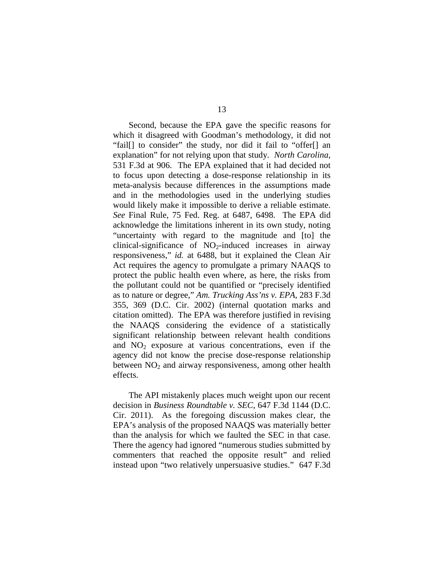Second, because the EPA gave the specific reasons for which it disagreed with Goodman's methodology, it did not "fail[] to consider" the study, nor did it fail to "offer[] an explanation" for not relying upon that study. *North Carolina*, 531 F.3d at 906. The EPA explained that it had decided not to focus upon detecting a dose-response relationship in its meta-analysis because differences in the assumptions made and in the methodologies used in the underlying studies would likely make it impossible to derive a reliable estimate. *See* Final Rule, 75 Fed. Reg. at 6487, 6498. The EPA did acknowledge the limitations inherent in its own study, noting "uncertainty with regard to the magnitude and [to] the clinical-significance of  $NO<sub>2</sub>$ -induced increases in airway responsiveness," *id.* at 6488, but it explained the Clean Air Act requires the agency to promulgate a primary NAAQS to protect the public health even where, as here, the risks from the pollutant could not be quantified or "precisely identified as to nature or degree," *Am. Trucking Ass'ns v. EPA*, 283 F.3d 355, 369 (D.C. Cir. 2002) (internal quotation marks and citation omitted). The EPA was therefore justified in revising the NAAQS considering the evidence of a statistically significant relationship between relevant health conditions and  $NO<sub>2</sub>$  exposure at various concentrations, even if the agency did not know the precise dose-response relationship between  $NO<sub>2</sub>$  and airway responsiveness, among other health effects.

The API mistakenly places much weight upon our recent decision in *Business Roundtable v. SEC*, 647 F.3d 1144 (D.C. Cir. 2011). As the foregoing discussion makes clear, the EPA's analysis of the proposed NAAQS was materially better than the analysis for which we faulted the SEC in that case. There the agency had ignored "numerous studies submitted by commenters that reached the opposite result" and relied instead upon "two relatively unpersuasive studies." 647 F.3d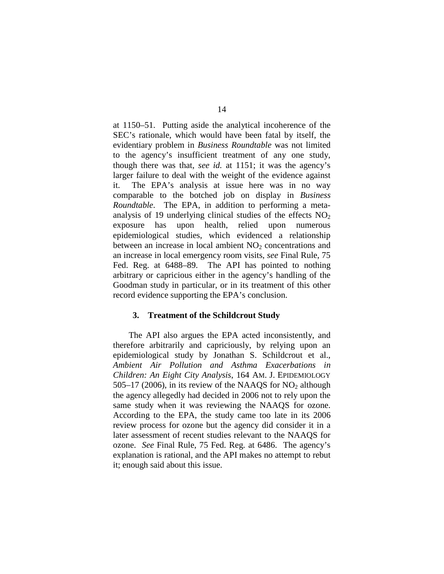at 1150–51. Putting aside the analytical incoherence of the SEC's rationale, which would have been fatal by itself, the evidentiary problem in *Business Roundtable* was not limited to the agency's insufficient treatment of any one study, though there was that, *see id.* at 1151; it was the agency's larger failure to deal with the weight of the evidence against it. The EPA's analysis at issue here was in no way comparable to the botched job on display in *Business Roundtable*. The EPA, in addition to performing a metaanalysis of 19 underlying clinical studies of the effects  $NO<sub>2</sub>$ exposure has upon health, relied upon numerous epidemiological studies, which evidenced a relationship between an increase in local ambient  $NO<sub>2</sub>$  concentrations and an increase in local emergency room visits, *see* Final Rule, 75 Fed. Reg. at 6488–89. The API has pointed to nothing arbitrary or capricious either in the agency's handling of the Goodman study in particular, or in its treatment of this other record evidence supporting the EPA's conclusion.

## **3. Treatment of the Schildcrout Study**

The API also argues the EPA acted inconsistently, and therefore arbitrarily and capriciously, by relying upon an epidemiological study by Jonathan S. Schildcrout et al., *Ambient Air Pollution and Asthma Exacerbations in Children: An Eight City Analysis*, 164 AM. J. EPIDEMIOLOGY 505–17 (2006), in its review of the NAAQS for  $NO<sub>2</sub>$  although the agency allegedly had decided in 2006 not to rely upon the same study when it was reviewing the NAAQS for ozone. According to the EPA, the study came too late in its 2006 review process for ozone but the agency did consider it in a later assessment of recent studies relevant to the NAAQS for ozone. *See* Final Rule, 75 Fed. Reg. at 6486. The agency's explanation is rational, and the API makes no attempt to rebut it; enough said about this issue.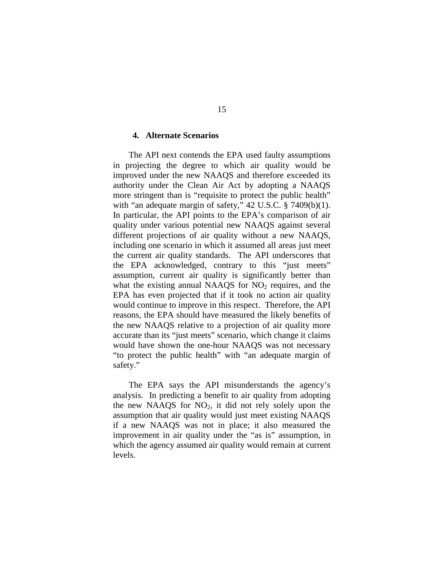## **4. Alternate Scenarios**

The API next contends the EPA used faulty assumptions in projecting the degree to which air quality would be improved under the new NAAQS and therefore exceeded its authority under the Clean Air Act by adopting a NAAQS more stringent than is "requisite to protect the public health" with "an adequate margin of safety," 42 U.S.C. § 7409(b)(1). In particular, the API points to the EPA's comparison of air quality under various potential new NAAQS against several different projections of air quality without a new NAAQS, including one scenario in which it assumed all areas just meet the current air quality standards. The API underscores that the EPA acknowledged, contrary to this "just meets" assumption, current air quality is significantly better than what the existing annual NAAQS for  $NO<sub>2</sub>$  requires, and the EPA has even projected that if it took no action air quality would continue to improve in this respect. Therefore, the API reasons, the EPA should have measured the likely benefits of the new NAAQS relative to a projection of air quality more accurate than its "just meets" scenario, which change it claims would have shown the one-hour NAAQS was not necessary "to protect the public health" with "an adequate margin of safety."

The EPA says the API misunderstands the agency's analysis. In predicting a benefit to air quality from adopting the new NAAQS for  $NO<sub>2</sub>$ , it did not rely solely upon the assumption that air quality would just meet existing NAAQS if a new NAAQS was not in place; it also measured the improvement in air quality under the "as is" assumption, in which the agency assumed air quality would remain at current levels.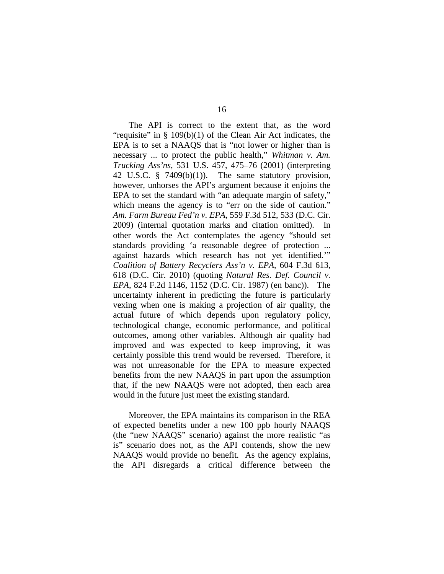The API is correct to the extent that, as the word "requisite" in  $\S$  109(b)(1) of the Clean Air Act indicates, the EPA is to set a NAAQS that is "not lower or higher than is necessary ... to protect the public health," *Whitman v. Am. Trucking Ass'ns*, 531 U.S. 457, 475–76 (2001) (interpreting 42 U.S.C. § 7409(b)(1)). The same statutory provision, however, unhorses the API's argument because it enjoins the EPA to set the standard with "an adequate margin of safety," which means the agency is to "err on the side of caution." *Am. Farm Bureau Fed'n v. EPA*, 559 F.3d 512, 533 (D.C. Cir. 2009) (internal quotation marks and citation omitted). In other words the Act contemplates the agency "should set standards providing 'a reasonable degree of protection ... against hazards which research has not yet identified.'" *Coalition of Battery Recyclers Ass'n v. EPA*, 604 F.3d 613, 618 (D.C. Cir. 2010) (quoting *Natural Res. Def. Council v. EPA*, 824 F.2d 1146, 1152 (D.C. Cir. 1987) (en banc)). The uncertainty inherent in predicting the future is particularly vexing when one is making a projection of air quality, the actual future of which depends upon regulatory policy, technological change, economic performance, and political outcomes, among other variables. Although air quality had improved and was expected to keep improving, it was certainly possible this trend would be reversed. Therefore, it was not unreasonable for the EPA to measure expected benefits from the new NAAQS in part upon the assumption that, if the new NAAQS were not adopted, then each area would in the future just meet the existing standard.

Moreover, the EPA maintains its comparison in the REA of expected benefits under a new 100 ppb hourly NAAQS (the "new NAAQS" scenario) against the more realistic "as is" scenario does not, as the API contends, show the new NAAQS would provide no benefit. As the agency explains, the API disregards a critical difference between the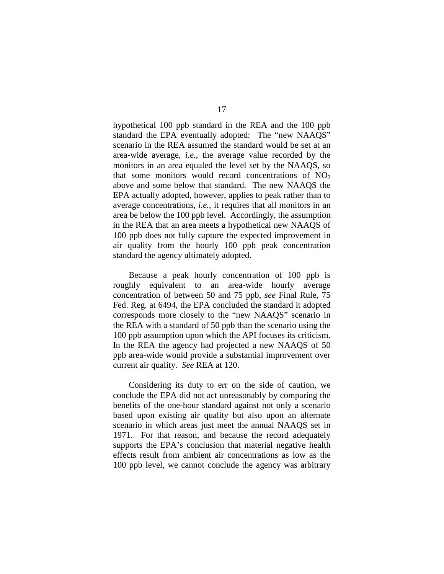hypothetical 100 ppb standard in the REA and the 100 ppb standard the EPA eventually adopted: The "new NAAQS" scenario in the REA assumed the standard would be set at an area-wide average, *i.e.*, the average value recorded by the monitors in an area equaled the level set by the NAAQS, so that some monitors would record concentrations of  $NO<sub>2</sub>$ above and some below that standard. The new NAAQS the EPA actually adopted, however, applies to peak rather than to average concentrations, *i.e.*, it requires that all monitors in an area be below the 100 ppb level. Accordingly, the assumption in the REA that an area meets a hypothetical new NAAQS of 100 ppb does not fully capture the expected improvement in air quality from the hourly 100 ppb peak concentration standard the agency ultimately adopted.

Because a peak hourly concentration of 100 ppb is roughly equivalent to an area-wide hourly average concentration of between 50 and 75 ppb, *see* Final Rule, 75 Fed. Reg. at 6494, the EPA concluded the standard it adopted corresponds more closely to the "new NAAQS" scenario in the REA with a standard of 50 ppb than the scenario using the 100 ppb assumption upon which the API focuses its criticism. In the REA the agency had projected a new NAAQS of 50 ppb area-wide would provide a substantial improvement over current air quality. *See* REA at 120.

Considering its duty to err on the side of caution, we conclude the EPA did not act unreasonably by comparing the benefits of the one-hour standard against not only a scenario based upon existing air quality but also upon an alternate scenario in which areas just meet the annual NAAQS set in 1971. For that reason, and because the record adequately supports the EPA's conclusion that material negative health effects result from ambient air concentrations as low as the 100 ppb level, we cannot conclude the agency was arbitrary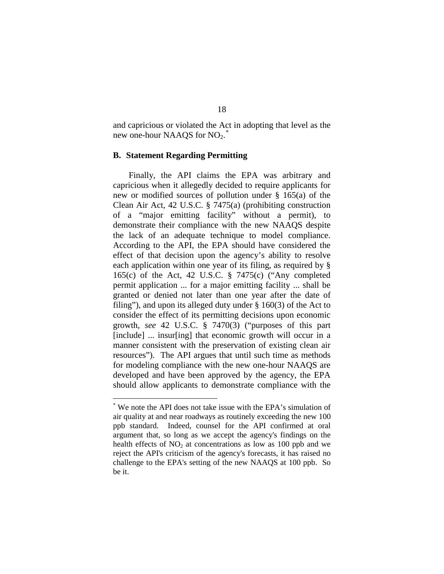and capricious or violated the Act in adopting that level as the new one-hour NAAQS for  $NO<sub>2</sub>$ .

## **B. Statement Regarding Permitting**

Finally, the API claims the EPA was arbitrary and capricious when it allegedly decided to require applicants for new or modified sources of pollution under § 165(a) of the Clean Air Act, 42 U.S.C. § 7475(a) (prohibiting construction of a "major emitting facility" without a permit), to demonstrate their compliance with the new NAAQS despite the lack of an adequate technique to model compliance. According to the API, the EPA should have considered the effect of that decision upon the agency's ability to resolve each application within one year of its filing, as required by § 165(c) of the Act, 42 U.S.C. § 7475(c) ("Any completed permit application ... for a major emitting facility ... shall be granted or denied not later than one year after the date of filing"), and upon its alleged duty under § 160(3) of the Act to consider the effect of its permitting decisions upon economic growth, *see* 42 U.S.C. § 7470(3) ("purposes of this part [include] ... insur[ing] that economic growth will occur in a manner consistent with the preservation of existing clean air resources"). The API argues that until such time as methods for modeling compliance with the new one-hour NAAQS are developed and have been approved by the agency, the EPA should allow applicants to demonstrate compliance with the

<span id="page-17-0"></span> <sup>\*</sup> We note the API does not take issue with the EPA's simulation of air quality at and near roadways as routinely exceeding the new 100 ppb standard. Indeed, counsel for the API confirmed at oral argument that, so long as we accept the agency's findings on the health effects of  $NO<sub>2</sub>$  at concentrations as low as 100 ppb and we reject the API's criticism of the agency's forecasts, it has raised no challenge to the EPA's setting of the new NAAQS at 100 ppb. So be it.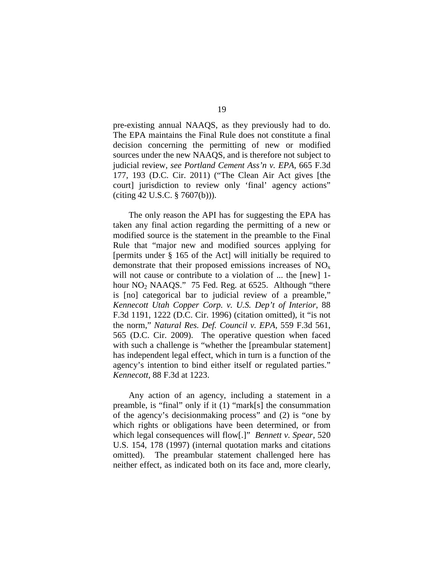pre-existing annual NAAQS, as they previously had to do. The EPA maintains the Final Rule does not constitute a final decision concerning the permitting of new or modified sources under the new NAAQS, and is therefore not subject to judicial review, *see Portland Cement Ass'n v. EPA*, 665 F.3d 177, 193 (D.C. Cir. 2011) ("The Clean Air Act gives [the court] jurisdiction to review only 'final' agency actions" (citing 42 U.S.C. § 7607(b))).

The only reason the API has for suggesting the EPA has taken any final action regarding the permitting of a new or modified source is the statement in the preamble to the Final Rule that "major new and modified sources applying for [permits under § 165 of the Act] will initially be required to demonstrate that their proposed emissions increases of  $NO<sub>x</sub>$ will not cause or contribute to a violation of ... the [new] 1hour  $NO<sub>2</sub> NAAQS."$  75 Fed. Reg. at 6525. Although "there is [no] categorical bar to judicial review of a preamble," *Kennecott Utah Copper Corp. v. U.S. Dep't of Interior*, 88 F.3d 1191, 1222 (D.C. Cir. 1996) (citation omitted), it "is not the norm," *Natural Res. Def. Council v. EPA*, 559 F.3d 561, 565 (D.C. Cir. 2009). The operative question when faced with such a challenge is "whether the [preambular statement] has independent legal effect, which in turn is a function of the agency's intention to bind either itself or regulated parties." *Kennecott,* 88 F.3d at 1223.

Any action of an agency, including a statement in a preamble, is "final" only if it (1) "mark[s] the consummation of the agency's decisionmaking process" and (2) is "one by which rights or obligations have been determined, or from which legal consequences will flow[.]" *Bennett v. Spear*, 520 U.S. 154, 178 (1997) (internal quotation marks and citations omitted). The preambular statement challenged here has neither effect, as indicated both on its face and, more clearly,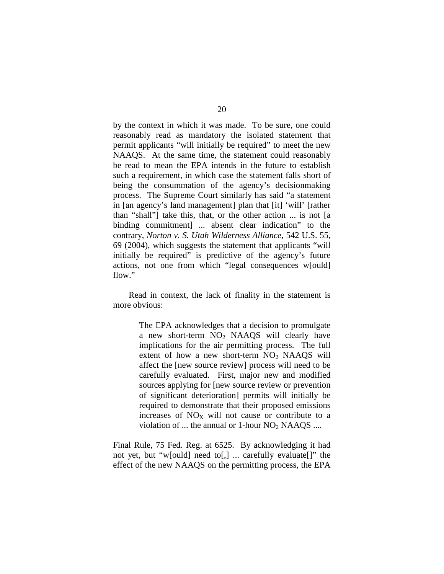by the context in which it was made. To be sure, one could reasonably read as mandatory the isolated statement that permit applicants "will initially be required" to meet the new NAAQS. At the same time, the statement could reasonably be read to mean the EPA intends in the future to establish such a requirement, in which case the statement falls short of being the consummation of the agency's decisionmaking process. The Supreme Court similarly has said "a statement in [an agency's land management] plan that [it] 'will' [rather than "shall"] take this, that, or the other action ... is not [a binding commitment] ... absent clear indication" to the contrary, *Norton v. S. Utah Wilderness Alliance*, 542 U.S. 55, 69 (2004), which suggests the statement that applicants "will initially be required" is predictive of the agency's future actions, not one from which "legal consequences w[ould] flow."

Read in context, the lack of finality in the statement is more obvious:

> The EPA acknowledges that a decision to promulgate a new short-term  $NO<sub>2</sub>$  NAAQS will clearly have implications for the air permitting process. The full extent of how a new short-term  $NO<sub>2</sub>$  NAAQS will affect the [new source review] process will need to be carefully evaluated. First, major new and modified sources applying for [new source review or prevention of significant deterioration] permits will initially be required to demonstrate that their proposed emissions increases of  $NO<sub>x</sub>$  will not cause or contribute to a violation of ... the annual or  $1$ -hour  $NO<sub>2</sub> NAAQS$  ....

Final Rule, 75 Fed. Reg. at 6525. By acknowledging it had not yet, but "w[ould] need to[,] ... carefully evaluate[]" the effect of the new NAAQS on the permitting process, the EPA